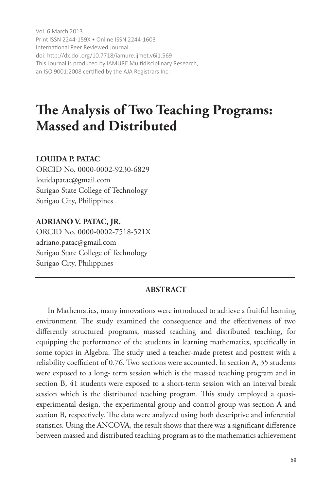Vol. 6 March 2013 Print ISSN 2244-159X • Online ISSN 2244-1603 International Peer Reviewed Journal doi: http://dx.doi.org/10.7718/iamure.ijmet.v6i1.569 This Journal is produced by IAMURE Multidisciplinary Research, an ISO 9001:2008 certified by the AJA Registrars Inc.

# **The Analysis of Two Teaching Programs: Massed and Distributed**

# **LOUIDA P. PATAC**

ORCID No. 0000-0002-9230-6829 louidapatac@gmail.com Surigao State College of Technology Surigao City, Philippines

## **ADRIANO V. PATAC, JR.**

ORCID No. 0000-0002-7518-521X adriano.patac@gmail.com Surigao State College of Technology Surigao City, Philippines

## **ABSTRACT**

In Mathematics, many innovations were introduced to achieve a fruitful learning environment. The study examined the consequence and the effectiveness of two differently structured programs, massed teaching and distributed teaching, for equipping the performance of the students in learning mathematics, specifically in some topics in Algebra. The study used a teacher-made pretest and posttest with a reliability coefficient of 0.76. Two sections were accounted. In section A, 35 students were exposed to a long- term session which is the massed teaching program and in section B, 41 students were exposed to a short-term session with an interval break session which is the distributed teaching program. This study employed a quasiexperimental design, the experimental group and control group was section A and section B, respectively. The data were analyzed using both descriptive and inferential statistics. Using the ANCOVA, the result shows that there was a significant difference between massed and distributed teaching program as to the mathematics achievement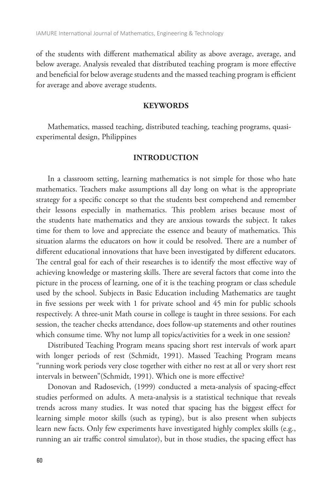of the students with different mathematical ability as above average, average, and below average. Analysis revealed that distributed teaching program is more effective and beneficial for below average students and the massed teaching program is efficient for average and above average students.

#### **KEYWORDS**

Mathematics, massed teaching, distributed teaching, teaching programs, quasiexperimental design, Philippines

#### **INTRODUCTION**

In a classroom setting, learning mathematics is not simple for those who hate mathematics. Teachers make assumptions all day long on what is the appropriate strategy for a specific concept so that the students best comprehend and remember their lessons especially in mathematics. This problem arises because most of the students hate mathematics and they are anxious towards the subject. It takes time for them to love and appreciate the essence and beauty of mathematics. This situation alarms the educators on how it could be resolved. There are a number of different educational innovations that have been investigated by different educators. The central goal for each of their researches is to identify the most effective way of achieving knowledge or mastering skills. There are several factors that come into the picture in the process of learning, one of it is the teaching program or class schedule used by the school. Subjects in Basic Education including Mathematics are taught in five sessions per week with 1 for private school and 45 min for public schools respectively. A three-unit Math course in college is taught in three sessions. For each session, the teacher checks attendance, does follow-up statements and other routines which consume time. Why not lump all topics/activities for a week in one session?

Distributed Teaching Program means spacing short rest intervals of work apart with longer periods of rest (Schmidt, 1991). Massed Teaching Program means "running work periods very close together with either no rest at all or very short rest intervals in between"(Schmidt, 1991). Which one is more effective?

Donovan and Radosevich, (1999) conducted a meta-analysis of spacing-effect studies performed on adults. A meta-analysis is a statistical technique that reveals trends across many studies. It was noted that spacing has the biggest effect for learning simple motor skills (such as typing), but is also present when subjects learn new facts. Only few experiments have investigated highly complex skills (e.g., running an air traffic control simulator), but in those studies, the spacing effect has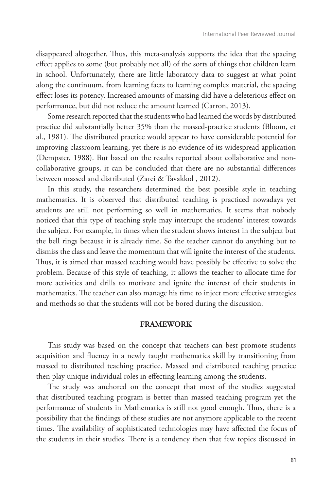disappeared altogether. Thus, this meta-analysis supports the idea that the spacing effect applies to some (but probably not all) of the sorts of things that children learn in school. Unfortunately, there are little laboratory data to suggest at what point along the continuum, from learning facts to learning complex material, the spacing effect loses its potency. Increased amounts of massing did have a deleterious effect on performance, but did not reduce the amount learned (Carron, 2013).

Some research reported that the students who had learned the words by distributed practice did substantially better 35% than the massed-practice students (Bloom, et al., 1981). The distributed practice would appear to have considerable potential for improving classroom learning, yet there is no evidence of its widespread application (Dempster, 1988). But based on the results reported about collaborative and noncollaborative groups, it can be concluded that there are no substantial differences between massed and distributed (Zarei & Tavakkol , 2012).

In this study, the researchers determined the best possible style in teaching mathematics. It is observed that distributed teaching is practiced nowadays yet students are still not performing so well in mathematics. It seems that nobody noticed that this type of teaching style may interrupt the students' interest towards the subject. For example, in times when the student shows interest in the subject but the bell rings because it is already time. So the teacher cannot do anything but to dismiss the class and leave the momentum that will ignite the interest of the students. Thus, it is aimed that massed teaching would have possibly be effective to solve the problem. Because of this style of teaching, it allows the teacher to allocate time for more activities and drills to motivate and ignite the interest of their students in mathematics. The teacher can also manage his time to inject more effective strategies and methods so that the students will not be bored during the discussion.

#### **FRAMEWORK**

This study was based on the concept that teachers can best promote students acquisition and fluency in a newly taught mathematics skill by transitioning from massed to distributed teaching practice. Massed and distributed teaching practice then play unique individual roles in effecting learning among the students.

The study was anchored on the concept that most of the studies suggested that distributed teaching program is better than massed teaching program yet the performance of students in Mathematics is still not good enough. Thus, there is a possibility that the findings of these studies are not anymore applicable to the recent times. The availability of sophisticated technologies may have affected the focus of the students in their studies. There is a tendency then that few topics discussed in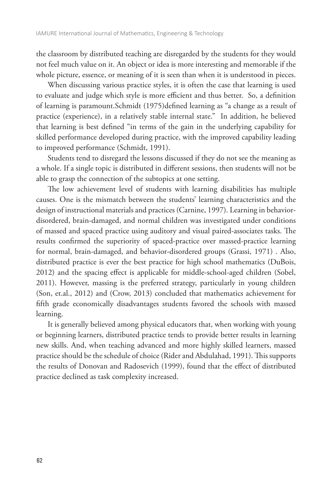the classroom by distributed teaching are disregarded by the students for they would not feel much value on it. An object or idea is more interesting and memorable if the whole picture, essence, or meaning of it is seen than when it is understood in pieces.

When discussing various practice styles, it is often the case that learning is used to evaluate and judge which style is more efficient and thus better. So, a definition of learning is paramount.Schmidt (1975)defined learning as "a change as a result of practice (experience), in a relatively stable internal state." In addition, he believed that learning is best defined "in terms of the gain in the underlying capability for skilled performance developed during practice, with the improved capability leading to improved performance (Schmidt, 1991).

Students tend to disregard the lessons discussed if they do not see the meaning as a whole. If a single topic is distributed in different sessions, then students will not be able to grasp the connection of the subtopics at one setting.

The low achievement level of students with learning disabilities has multiple causes. One is the mismatch between the students' learning characteristics and the design of instructional materials and practices (Carnine, 1997). Learning in behaviordisordered, brain-damaged, and normal children was investigated under conditions of massed and spaced practice using auditory and visual paired-associates tasks. The results confirmed the superiority of spaced-practice over massed-practice learning for normal, brain-damaged, and behavior-disordered groups (Grassi, 1971) . Also, distributed practice is ever the best practice for high school mathematics (DuBois, 2012) and the spacing effect is applicable for middle-school-aged children (Sobel, 2011). However, massing is the preferred strategy, particularly in young children (Son, et.al., 2012) and (Crow, 2013) concluded that mathematics achievement for fifth grade economically disadvantages students favored the schools with massed learning.

It is generally believed among physical educators that, when working with young or beginning learners, distributed practice tends to provide better results in learning new skills. And, when teaching advanced and more highly skilled learners, massed practice should be the schedule of choice (Rider and Abdulahad, 1991). This supports the results of Donovan and Radosevich (1999), found that the effect of distributed practice declined as task complexity increased.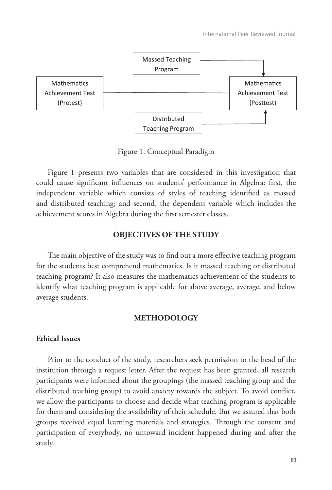

Figure 1. Conceptual Paradigm

Figure 1 presents two variables that are considered in this investigation that could cause significant influences on students' performance in Algebra: first, the independent variable which consists of styles of teaching identified as massed and distributed teaching; and second, the dependent variable which includes the achievement scores in Algebra during the first semester classes.

# **OBJECTIVES OF THE STUDY**

The main objective of the study was to find out a more effective teaching program for the students best comprehend mathematics. Is it massed teaching or distributed teaching program? It also measures the mathematics achievement of the students to identify what teaching program is applicable for above average, average, and below average students.

#### **METHODOLOGY**

## **Ethical Issues**

Prior to the conduct of the study, researchers seek permission to the head of the institution through a request letter. After the request has been granted, all research participants were informed about the groupings (the massed teaching group and the distributed teaching group) to avoid anxiety towards the subject. To avoid conflict, we allow the participants to choose and decide what teaching program is applicable for them and considering the availability of their schedule. But we assured that both groups received equal learning materials and strategies. Through the consent and participation of everybody, no untoward incident happened during and after the study.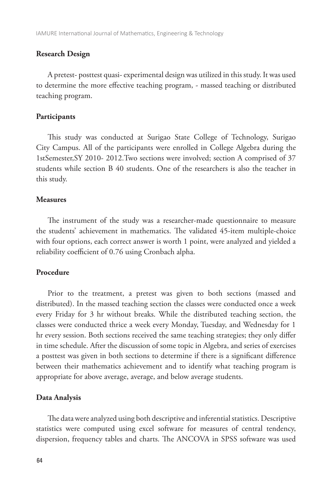#### **Research Design**

A pretest- posttest quasi- experimental design was utilized in this study. It was used to determine the more effective teaching program, - massed teaching or distributed teaching program.

#### **Participants**

This study was conducted at Surigao State College of Technology, Surigao City Campus. All of the participants were enrolled in College Algebra during the 1stSemester,SY 2010- 2012.Two sections were involved; section A comprised of 37 students while section B 40 students. One of the researchers is also the teacher in this study.

## **Measures**

The instrument of the study was a researcher-made questionnaire to measure the students' achievement in mathematics. The validated 45-item multiple-choice with four options, each correct answer is worth 1 point, were analyzed and yielded a reliability coefficient of 0.76 using Cronbach alpha.

#### **Procedure**

Prior to the treatment, a pretest was given to both sections (massed and distributed). In the massed teaching section the classes were conducted once a week every Friday for 3 hr without breaks. While the distributed teaching section, the classes were conducted thrice a week every Monday, Tuesday, and Wednesday for 1 hr every session. Both sections received the same teaching strategies; they only differ in time schedule. After the discussion of some topic in Algebra, and series of exercises a posttest was given in both sections to determine if there is a significant difference between their mathematics achievement and to identify what teaching program is appropriate for above average, average, and below average students.

#### **Data Analysis**

The data were analyzed using both descriptive and inferential statistics. Descriptive statistics were computed using excel software for measures of central tendency, dispersion, frequency tables and charts. The ANCOVA in SPSS software was used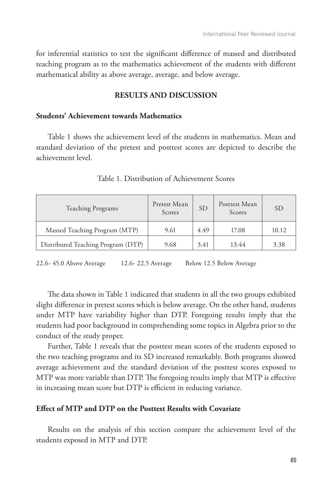for inferential statistics to test the significant difference of massed and distributed teaching program as to the mathematics achievement of the students with different mathematical ability as above average, average, and below average.

## **RESULTS AND DISCUSSION**

## **Students' Achievement towards Mathematics**

Table 1 shows the achievement level of the students in mathematics. Mean and standard deviation of the pretest and posttest scores are depicted to describe the achievement level.

| Teaching Programs                  | Pretest Mean<br>Scores | <b>SD</b> | Posttest Mean<br>Scores | <b>SD</b> |
|------------------------------------|------------------------|-----------|-------------------------|-----------|
| Massed Teaching Program (MTP)      | 9.61                   | 4.49      | 17.08                   | 10.12     |
| Distributed Teaching Program (DTP) | 9.68                   | 3.41      | 13.44                   | 3.38      |

Table 1. Distribution of Achievement Scores

22.6- 45.0 Above Average 12.6- 22.5 Average Below 12.5 Below Average

The data shown in Table 1 indicated that students in all the two groups exhibited slight difference in pretest scores which is below average. On the other hand, students under MTP have variability higher than DTP. Foregoing results imply that the students had poor background in comprehending some topics in Algebra prior to the conduct of the study proper.

Further, Table 1 reveals that the posttest mean scores of the students exposed to the two teaching programs and its SD increased remarkably. Both programs showed average achievement and the standard deviation of the posttest scores exposed to MTP was more variable than DTP. The foregoing results imply that MTP is effective in increasing mean score but DTP is efficient in reducing variance.

#### **Effect of MTP and DTP on the Posttest Results with Covariate**

Results on the analysis of this section compare the achievement level of the students exposed in MTP and DTP.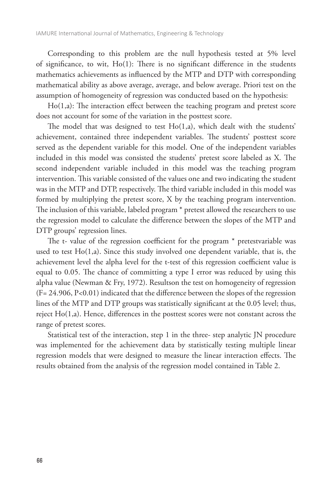Corresponding to this problem are the null hypothesis tested at 5% level of significance, to wit, Ho(1): There is no significant difference in the students mathematics achievements as influenced by the MTP and DTP with corresponding mathematical ability as above average, average, and below average. Priori test on the assumption of homogeneity of regression was conducted based on the hypothesis:

Ho(1,a): The interaction effect between the teaching program and pretest score does not account for some of the variation in the posttest score.

The model that was designed to test Ho(1,a), which dealt with the students' achievement, contained three independent variables. The students' posttest score served as the dependent variable for this model. One of the independent variables included in this model was consisted the students' pretest score labeled as X. The second independent variable included in this model was the teaching program intervention. This variable consisted of the values one and two indicating the student was in the MTP and DTP, respectively. The third variable included in this model was formed by multiplying the pretest score, X by the teaching program intervention. The inclusion of this variable, labeled program \* pretest allowed the researchers to use the regression model to calculate the difference between the slopes of the MTP and DTP groups' regression lines.

The t- value of the regression coefficient for the program \* pretestvariable was used to test Ho(1,a). Since this study involved one dependent variable, that is, the achievement level the alpha level for the t-test of this regression coefficient value is equal to 0.05. The chance of committing a type I error was reduced by using this alpha value (Newman & Fry, 1972). Resultson the test on homogeneity of regression (F= 24.906, P<0.01) indicated that the difference between the slopes of the regression lines of the MTP and DTP groups was statistically significant at the 0.05 level; thus, reject Ho(1,a). Hence, differences in the posttest scores were not constant across the range of pretest scores.

Statistical test of the interaction, step 1 in the three- step analytic JN procedure was implemented for the achievement data by statistically testing multiple linear regression models that were designed to measure the linear interaction effects. The results obtained from the analysis of the regression model contained in Table 2.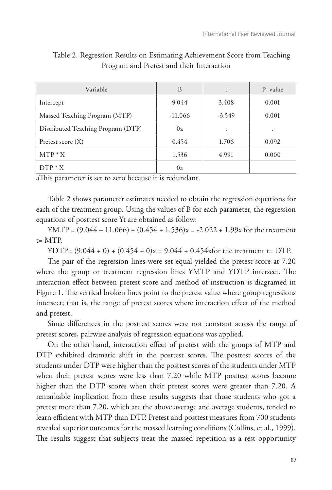| Variable                           | B         | $\mathbf{r}$ | P- value |
|------------------------------------|-----------|--------------|----------|
| Intercept                          | 9.044     | 3.408        | 0.001    |
| Massed Teaching Program (MTP)      | $-11.066$ | $-3.549$     | 0.001    |
| Distributed Teaching Program (DTP) | 0a        | ٠            | ٠        |
| Pretest score $(X)$                | 0.454     | 1.706        | 0.092    |
| $MTP * X$                          | 1.536     | 4.991        | 0.000    |
| $DTP * X$                          | 0a        |              |          |

Table 2. Regression Results on Estimating Achievement Score from Teaching Program and Pretest and their Interaction

aThis parameter is set to zero because it is redundant.

Table 2 shows parameter estimates needed to obtain the regression equations for each of the treatment group. Using the values of B for each parameter, the regression equations of posttest score Yt are obtained as follow:

YMTP =  $(9.044 - 11.066) + (0.454 + 1.536)x = -2.022 + 1.99x$  for the treatment t= MTP,

YDTP=  $(9.044 + 0) + (0.454 + 0)x = 9.044 + 0.454x$  for the treatment t= DTP.

The pair of the regression lines were set equal yielded the pretest score at 7.20 where the group or treatment regression lines YMTP and YDTP intersect. The interaction effect between pretest score and method of instruction is diagramed in Figure 1. The vertical broken lines point to the pretest value where group regressions intersect; that is, the range of pretest scores where interaction effect of the method and pretest.

Since differences in the posttest scores were not constant across the range of pretest scores, pairwise analysis of regression equations was applied.

On the other hand, interaction effect of pretest with the groups of MTP and DTP exhibited dramatic shift in the posttest scores. The posttest scores of the students under DTP were higher than the posttest scores of the students under MTP when their pretest scores were less than 7.20 while MTP posttest scores became higher than the DTP scores when their pretest scores were greater than 7.20. A remarkable implication from these results suggests that those students who got a pretest more than 7.20, which are the above average and average students, tended to learn efficient with MTP than DTP. Pretest and posttest measures from 700 students revealed superior outcomes for the massed learning conditions (Collins, et al., 1999). The results suggest that subjects treat the massed repetition as a rest opportunity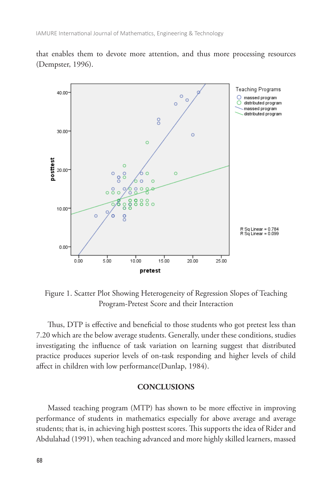that enables them to devote more attention, and thus more processing resources (Dempster, 1996).



Figure 1. Scatter Plot Showing Heterogeneity of Regression Slopes of Teaching Program-Pretest Score and their Interaction

Thus, DTP is effective and beneficial to those students who got pretest less than 7.20 which are the below average students. Generally, under these conditions, studies investigating the influence of task variation on learning suggest that distributed practice produces superior levels of on-task responding and higher levels of child affect in children with low performance(Dunlap, 1984).

#### **CONCLUSIONS**

Massed teaching program (MTP) has shown to be more effective in improving performance of students in mathematics especially for above average and average students; that is, in achieving high posttest scores. This supports the idea of Rider and Abdulahad (1991), when teaching advanced and more highly skilled learners, massed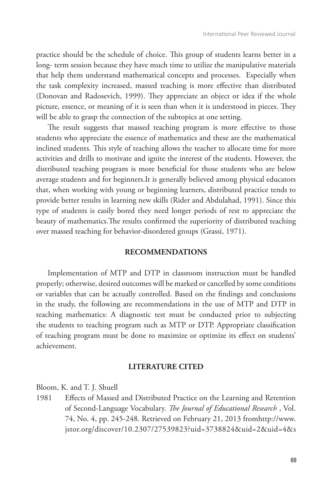practice should be the schedule of choice. This group of students learns better in a long- term session because they have much time to utilize the manipulative materials that help them understand mathematical concepts and processes. Especially when the task complexity increased, massed teaching is more effective than distributed (Donovan and Radosevich, 1999). They appreciate an object or idea if the whole picture, essence, or meaning of it is seen than when it is understood in pieces. They will be able to grasp the connection of the subtopics at one setting.

The result suggests that massed teaching program is more effective to those students who appreciate the essence of mathematics and these are the mathematical inclined students. This style of teaching allows the teacher to allocate time for more activities and drills to motivate and ignite the interest of the students. However, the distributed teaching program is more beneficial for those students who are below average students and for beginners.It is generally believed among physical educators that, when working with young or beginning learners, distributed practice tends to provide better results in learning new skills (Rider and Abdulahad, 1991). Since this type of students is easily bored they need longer periods of rest to appreciate the beauty of mathematics.The results confirmed the superiority of distributed teaching over massed teaching for behavior-disordered groups (Grassi, 1971).

#### **RECOMMENDATIONS**

Implementation of MTP and DTP in classroom instruction must be handled properly; otherwise, desired outcomes will be marked or cancelled by some conditions or variables that can be actually controlled. Based on the findings and conclusions in the study, the following are recommendations in the use of MTP and DTP in teaching mathematics: A diagnostic test must be conducted prior to subjecting the students to teaching program such as MTP or DTP. Appropriate classification of teaching program must be done to maximize or optimize its effect on students' achievement.

## **LITERATURE CITED**

Bloom, K. and T. J. Shuell

1981 Effects of Massed and Distributed Practice on the Learning and Retention of Second-Language Vocabulary. *The Journal of Educational Research* , Vol. 74, No. 4, pp. 245-248. Retrieved on February 21, 2013 fromhttp://www. jstor.org/discover/10.2307/27539823?uid=3738824&uid=2&uid=4&s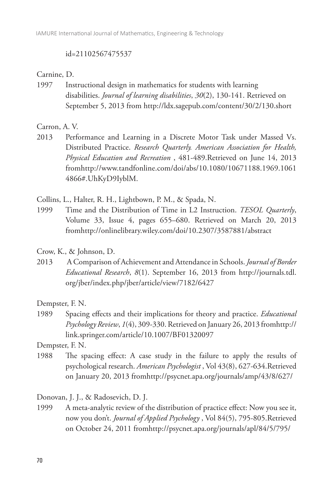#### id=21102567475537

## Carnine, D.

1997 Instructional design in mathematics for students with learning disabilities. *Journal of learning disabilities*, *30*(2), 130-141. Retrieved on September 5, 2013 from http://ldx.sagepub.com/content/30/2/130.short

Carron, A. V.

2013 Performance and Learning in a Discrete Motor Task under Massed Vs. Distributed Practice. *Research Quarterly. American Association for Health, Physical Education and Recreation* , 481-489.Retrieved on June 14, 2013 fromhttp://www.tandfonline.com/doi/abs/10.1080/10671188.1969.1061 4866#.UhKyD9IyblM.

Collins, L., Halter, R. H., Lightbown, P. M., & Spada, N.

1999 Time and the Distribution of Time in L2 Instruction. *TESOL Quarterly*, Volume 33, Issue 4, pages 655–680. Retrieved on March 20, 2013 fromhttp://onlinelibrary.wiley.com/doi/10.2307/3587881/abstract

Crow, K., & Johnson, D.

2013 A Comparison of Achievement and Attendance in Schools. *Journal of Border Educational Research*, *8*(1). September 16, 2013 from http://journals.tdl. org/jber/index.php/jber/article/view/7182/6427

Dempster, F. N.

1989 Spacing effects and their implications for theory and practice. *Educational Psychology Review*, *1*(4), 309-330. Retrieved on January 26, 2013 fromhttp:// link.springer.com/article/10.1007/BF01320097

Dempster, F. N.

1988 The spacing effect: A case study in the failure to apply the results of psychological research. *American Psychologist* , Vol 43(8), 627-634.Retrieved on January 20, 2013 fromhttp://psycnet.apa.org/journals/amp/43/8/627/

Donovan, J. J., & Radosevich, D. J.

1999 A meta-analytic review of the distribution of practice effect: Now you see it, now you don't. *Journal of Applied Psychology* , Vol 84(5), 795-805.Retrieved on October 24, 2011 fromhttp://psycnet.apa.org/journals/apl/84/5/795/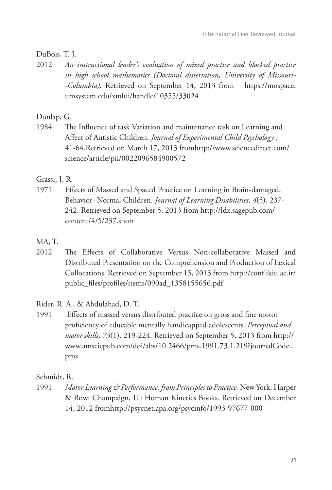# DuBois, T. J.

2012 *An instructional leader's evaluation of mixed practice and blocked practice in high school mathematics (Doctoral dissertation, University of Missouri- -Columbia).* Retrieved on September 14, 2013 from https://mospace. umsystem.edu/xmlui/handle/10355/33024

# Dunlap, G.

1984 The Influence of task Variation and maintenance task on Learning and Affect of Autistic Children. *Journal of Experimental Child Psychology* , 41-64.Retrieved on March 17, 2013 fromhttp://www.sciencedirect.com/ science/article/pii/0022096584900572

# Grassi, J. R.

1971 Effects of Massed and Spaced Practice on Learning in Brain-damaged, Behavior- Normal Children. *Journal of Learning Disabilities*, *4*(5), 237- 242. Retrieved on September 5, 2013 from http://ldx.sagepub.com/ content/4/5/237.short

# MA, T.

2012 The Effects of Collaborative Versus Non-collaborative Massed and Distributed Presentation on the Comprehension and Production of Lexical Collocations. Retrieved on September 15, 2013 from http://conf.ikiu.ac.ir/ public\_files/profiles/items/090ad\_1358155656.pdf

Rider, R. A., & Abdulahad, D. T.

1991 Effects of massed versus distributed practice on gross and fine motor proficiency of educable mentally handicapped adolescents. *Perceptual and motor skills*, *73*(1), 219-224. Retrieved on September 5, 2013 from http:// www.amsciepub.com/doi/abs/10.2466/pms.1991.73.1.219?journalCode= pms

# Schmidt, R.

1991 *Motor Learning & Performance: from Principles to Practice.* New York: Harper & Row: Champaign, IL: Human Kinetics Books. Retrieved on December 14, 2012 fromhttp://psycnet.apa.org/psycinfo/1993-97677-000